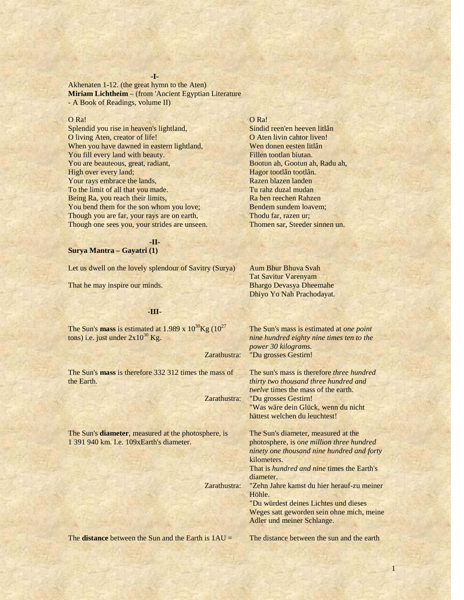**-I-**

Akhenaten 1-12. (the great hymn to the Aten) **Miriam Lichtheim** – (from 'Ancient Egyptian Literature - A Book of Readings, volume II)

### O Ra!

Splendid you rise in heaven's lightland, O living Aten, creator of life! When you have dawned in eastern lightland, You fill every land with beauty. You are beauteous, great, radiant, High over every land; Your rays embrace the lands, To the limit of all that you made. Being Ra, you reach their limits, You bend them for the son whom you love; Though you are far, your rays are on earth, Though one sees you, your strides are unseen.

### O Ra!

Sindid reen'en heeven litlân O Aten livin cahtor liven! Wen donen eesten litlân Fillen tootlan biutan. Bootun ah, Gootun ah, Radu ah, Hagor tootlân tootlân. Razen blazen landen Tu rahz duzal mudan Ra ben reechen Rahzen Bendem sundem loavem; Thodu far, razen ur; Thomen sar, Steeder sinnen un.

Aum Bhur Bhuva Svah Tat Savitur Varenyam Bhargo Devasya Dheemahe Dhiyo Yo Nah Prachodayat.

**-II-**

### **Surya Mantra – Gayatri (1)**

Let us dwell on the lovely splendour of Savitry (Surya)

That he may inspire our minds.

# **-III-**

The Sun's **mass** is estimated at  $1.989 \times 10^{30}$ Kg  $(10^{27})$ tons) i.e. just under  $2x10^{30}$  Kg.

Zarathustra:

The Sun's **mass** is therefore 332 312 times the mass of the Earth.

Zarathustra:

Zarathustra:

The Sun's **diameter**, measured at the photosphere, is 1 391 940 km. I.e. 109xEarth's diameter.

The Sun's mass is estimated at *one point nine hundred eighty nine times ten to the power 30 kilograms.* "Du grosses Gestirn!

The sun's mass is therefore *three hundred thirty two thousand three hundred and twelve* times the mass of the earth. "Du grosses Gestirn! "Was wäre dein Glück, wenn du nicht hättest welchen du leuchtest!

The Sun's diameter, measured at the photosphere, is o*ne million three hundred ninety one thousand nine hundred and forty* kilometers.

That is *hundred and nine* times the Earth's diameter.

"Zehn Jahre kamst du hier herauf-zu meiner Höhle.

"Du würdest deines Lichtes und dieses Weges satt geworden sein ohne mich, meine Adler und meiner Schlange.

The **distance** between the Sun and the Earth is 1AU =

The distance between the sun and the earth

1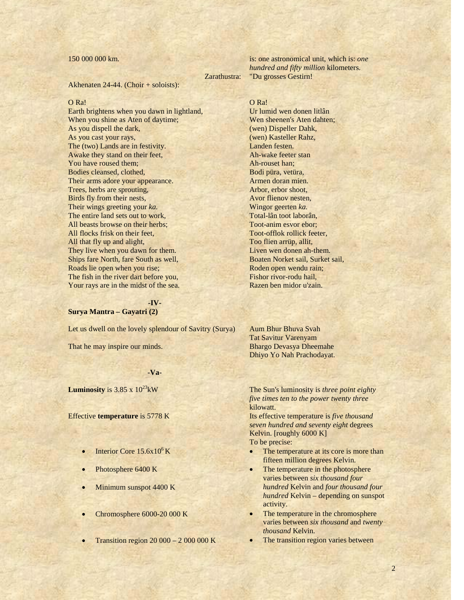# 150 000 000 km.

Zarathustra:

Akhenaten 24-44. (Choir + soloists):

### O Ra!

Earth brightens when you dawn in lightland, When you shine as Aten of daytime; As you dispell the dark, As you cast your rays, The (two) Lands are in festivity. Awake they stand on their feet, You have roused them; Bodies cleansed, clothed, Their arms adore your appearance. Trees, herbs are sprouting, Birds fly from their nests, Their wings greeting your *ka.* The entire land sets out to work, All beasts browse on their herbs; All flocks frisk on their feet, All that fly up and alight, They live when you dawn for them. Ships fare North, fare South as well, Roads lie open when you rise; The fish in the river dart before you, Your rays are in the midst of the sea.

# **-IV-**

# **Surya Mantra – Gayatri (2)**

Let us dwell on the lovely splendour of Savitry (Surya)

That he may inspire our minds.

# **-Va-**

**Luminosity** is  $3.85 \times 10^{23}$  kW

Effective **temperature** is 5778 K

- Interior Core  $15.6x10^6$  K
- Photosphere 6400 K
- Minimum sunspot 4400 K
- Chromosphere 6000-20 000 K
- Transition region 20 000 2 000 000 K

is: one astronomical unit, which is: *one hundred and fifty million* kilometers. "Du grosses Gestirn!

O Ra! Ur lumid wen donen litlân Wen sheenen's Aten dahten; (wen) Dispeller Dahk, (wen) Kasteller Rahz, Landen festen. Ah-wake feeter stan Ah-rouset han; Bodi püra, vetüra, Armen doran mien. Arbor, erbor shoot, Avor flienov nesten, Wingor geerten *ka.* Total-lân toot laborân, Toot-anim esvor ebor; Toot-offlok rollick feeter, Too flien arrüp, allit, Liven wen donen ah-them. Boaten Norket sail, Surket sail, Roden open wendu rain; Fishor rivor-rodu hail, Razen ben midor u'zain.

Aum Bhur Bhuva Svah Tat Savitur Varenyam Bhargo Devasya Dheemahe Dhiyo Yo Nah Prachodayat.

The Sun's luminosity is *three point eighty five times ten to the power twenty three* kilowatt.

Its effective temperature is *five thousand seven hundred and seventy eight* degrees Kelvin. [roughly 6000 K] To be precise:

- The temperature at its core is more than fifteen million degrees Kelvin.
- The temperature in the photosphere varies between *six thousand four hundred* Kelvin and *four thousand four hundred* Kelvin – depending on sunspot activity.
- The temperature in the chromosphere varies between *six thousand* and *twenty thousand* Kelvin.
- The transition region varies between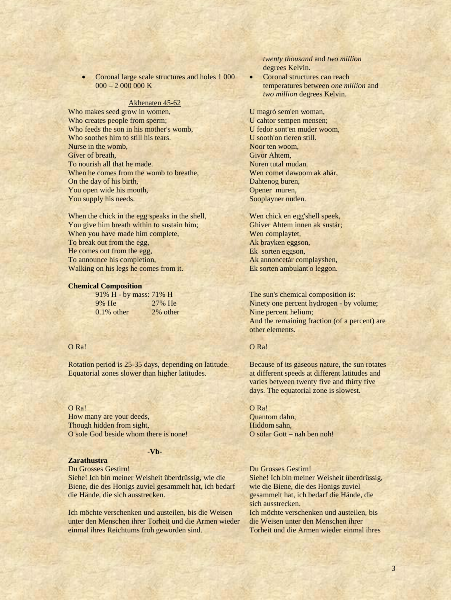• Coronal large scale structures and holes 1 000  $000 - 2000000K$ 

#### Akhenaten 45-62

Who makes seed grow in women, Who creates people from sperm; Who feeds the son in his mother's womb, Who soothes him to still his tears. Nurse in the womb, Giver of breath, To nourish all that he made. When he comes from the womb to breathe. On the day of his birth, You open wide his mouth, You supply his needs.

When the chick in the egg speaks in the shell, You give him breath within to sustain him; When you have made him complete, To break out from the egg, He comes out from the egg, To announce his completion, Walking on his legs he comes from it.

### **Chemical Composition**

| 91% H - by mass: 71% H |          |
|------------------------|----------|
| 9% He                  | 27% He   |
| $0.1\%$ other          | 2% other |

# O Ra!

Rotation period is 25-35 days, depending on latitude. Equatorial zones slower than higher latitudes.

O Ra! How many are your deeds, Though hidden from sight, O sole God beside whom there is none!

# **-Vb-**

# **Zarathustra**

Du Grosses Gestirn! Siehe! Ich bin meiner Weisheit überdrüssig, wie die Biene, die des Honigs zuviel gesammelt hat, ich bedarf die Hände, die sich ausstrecken.

Ich möchte verschenken und austeilen, bis die Weisen unter den Menschen ihrer Torheit und die Armen wieder einmal ihres Reichtums froh geworden sind.

*twenty thousand* and *two million* degrees Kelvin.

Coronal structures can reach temperatures between *one million* and *two million* degrees Kelvin.

U magró sem'en woman, U cahtor sempen mensen; U fedor sont'en muder woom, U sooth'on tieren still. Noor ten woom, Givor Ahtem, Nuren tutal mudan. Wen comet dawoom ak ahár. Dahtenog buren, Opener muren, Sooplayner nuden.

Wen chick en egg'shell speek, Ghiver Ahtem innen ak sustár; Wen complaytet, Ak brayken eggson, Ek sorten eggson, Ak annoncetár complayshen, Ek sorten ambulant'o leggon.

The sun's chemical composition is: Ninety one percent hydrogen - by volume; Nine percent helium; And the remaining fraction (of a percent) are other elements.

# O Ra!

Because of its gaseous nature, the sun rotates at different speeds at different latitudes and varies between twenty five and thirty five days. The equatorial zone is slowest.

O Ra! Quantom dahn, Hiddom sahn, O solar Gott – nah ben noh!

Du Grosses Gestirn!

Siehe! Ich bin meiner Weisheit überdrüssig, wie die Biene, die des Honigs zuviel gesammelt hat, ich bedarf die Hände, die sich ausstrecken. Ich möchte verschenken und austeilen, bis die Weisen unter den Menschen ihrer Torheit und die Armen wieder einmal ihres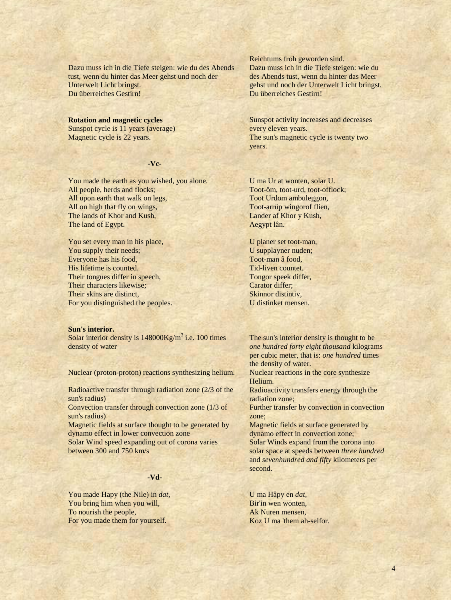Dazu muss ich in die Tiefe steigen: wie du des Abends tust, wenn du hinter das Meer gehst und noch der Unterwelt Licht bringst. Du überreiches Gestirn!

**Rotation and magnetic cycles** Sunspot cycle is 11 years (average) Magnetic cycle is 22 years.

# **-Vc-**

You made the earth as you wished, you alone. All people, herds and flocks; All upon earth that walk on legs, All on high that fly on wings, The lands of Khor and Kush, The land of Egypt.

You set every man in his place, You supply their needs; Everyone has his food, His lifetime is counted. Their tongues differ in speech, Their characters likewise; Their skins are distinct, For you distinguished the peoples.

### **Sun's interior.**

Solar interior density is  $148000 \text{Kg/m}^3$  i.e. 100 times density of water

Nuclear (proton-proton) reactions synthesizing helium.

Radioactive transfer through radiation zone (2/3 of the sun's radius)

Convection transfer through convection zone (1/3 of sun's radius)

Magnetic fields at surface thought to be generated by dynamo effect in lower convection zone

Solar Wind speed expanding out of corona varies between 300 and 750 km/s

# **-Vd-**

You made Hapy (the Nile) in *dat*, You bring him when you will, To nourish the people, For you made them for yourself.

Reichtums froh geworden sind. Dazu muss ich in die Tiefe steigen: wie du des Abends tust, wenn du hinter das Meer gehst und noch der Unterwelt Licht bringst. Du überreiches Gestirn!

Sunspot activity increases and decreases every eleven years. The sun's magnetic cycle is twenty two years.

U ma Ur at wonten, solar U. Toot-ôm, toot-urd, toot-offlock; Toot Urdom ambuleggon, Toot-arrüp wingorof flien, Lander af Khor y Kush, Aegypt lân.

U planer set toot-man, U supplayner nuden; Toot-man â food, Tid-liven countet. Tongor speek differ, Carator differ; Skinnor distintiv, U distinket mensen.

The sun's interior density is thought to be *one hundred forty eight thousand* kilograms per cubic meter, that is: *one hundred* times the density of water. Nuclear reactions in the core synthesize Helium. Radioactivity transfers energy through the radiation zone; Further transfer by convection in convection zone; Magnetic fields at surface generated by dynamo effect in convection zone; Solar Winds expand from the corona into solar space at speeds between *three hundred* and *sevenhundred and fifty* kilometers per second.

U ma Hâpy en *dat,* Bir'in wen wonten, Ak Nuren mensen, Koz U ma 'them ah-selfor.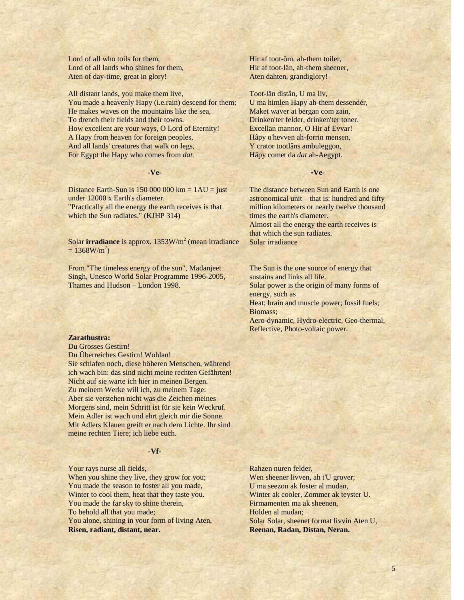Lord of all who toils for them, Lord of all lands who shines for them, Aten of day-time, great in glory!

All distant lands, you make them live, You made a heavenly Hapy (i.e.rain) descend for them; He makes waves on the mountains like the sea, To drench their fields and their towns. How excellent are your ways, O Lord of Eternity! A Hapy from heaven for foreign peoples, And all lands' creatures that walk on legs, For Egypt the Hapy who comes from *dat.*

## **-Ve-**

Distance Earth-Sun is  $150,000,000$  km =  $1AU =$  just under 12000 x Earth's diameter. "Practically all the energy the earth receives is that which the Sun radiates." (KJHP 314)

Solar **irradiance** is approx. 1353W/m<sup>2</sup> (mean irradiance  $= 1368 W/m^2$ 

From "The timeless energy of the sun", Madanjeet Singh, Unesco World Solar Programme 1996-2005, Thames and Hudson – London 1998.

## **Zarathustra:**

Du Grosses Gestirn! Du Überreiches Gestirn! Wohlan! Sie schlafen noch, diese höheren Menschen, während ich wach bin: das sind nicht meine rechten Gefährten! Nicht auf sie warte ich hier in meinen Bergen. Zu meinem Werke will ich, zu meinem Tage: Aber sie verstehen nicht was die Zeichen meines Morgens sind, mein Schritt ist für sie kein Weckruf. Mein Adler ist wach und ehrt gleich mir die Sonne. Mit Adlers Klauen greift er nach dem Lichte. Ihr sind meine rechten Tiere; ich liebe euch.

# **-Vf-**

Your rays nurse all fields, When you shine they live, they grow for you; You made the season to foster all you made, Winter to cool them, heat that they taste you. You made the far sky to shine therein, To behold all that you made; You alone, shining in your form of living Aten, **Risen, radiant, distant, near.**

Hir af toot-ôm, ah-them toiler, Hir af toot-lân, ah-them sheener, Aten dahten, grandiglory!

Toot-lân distân, U ma liv, U ma himlen Hapy ah-them dessendér, Maket waver at bergan com zain, Drinken'ter felder, drinken'ter toner. Excellan mannor, O Hir af Evvar! Hâpy o'hevven ah-forrin mensen, Y crator tootlâns ambuleggon, Hâpy comet da *dat* ah-Aegypt.

# **-Ve-**

The distance between Sun and Earth is one astronomical unit – that is: hundred and fifty million kilometers or nearly twelve thousand times the earth's diameter. Almost all the energy the earth receives is that which the sun radiates. Solar irradiance

The Sun is the one source of energy that sustains and links all life. Solar power is the origin of many forms of energy, such as Heat; brain and muscle power; fossil fuels; Biomass; Aero-dynamic, Hydro-electric, Geo-thermal, Reflective, Photo-voltaic power.

Rahzen nuren felder, Wen sheener livven, ah t'U grover; U ma seezon ak foster al mudan, Winter ak cooler, Zommer ak teyster U. Firmamenten ma ak sheenen, Holden al mudan; Solar Solar, sheenet format livvin Aten U, **Reenan, Radan, Distan, Neran.**

5